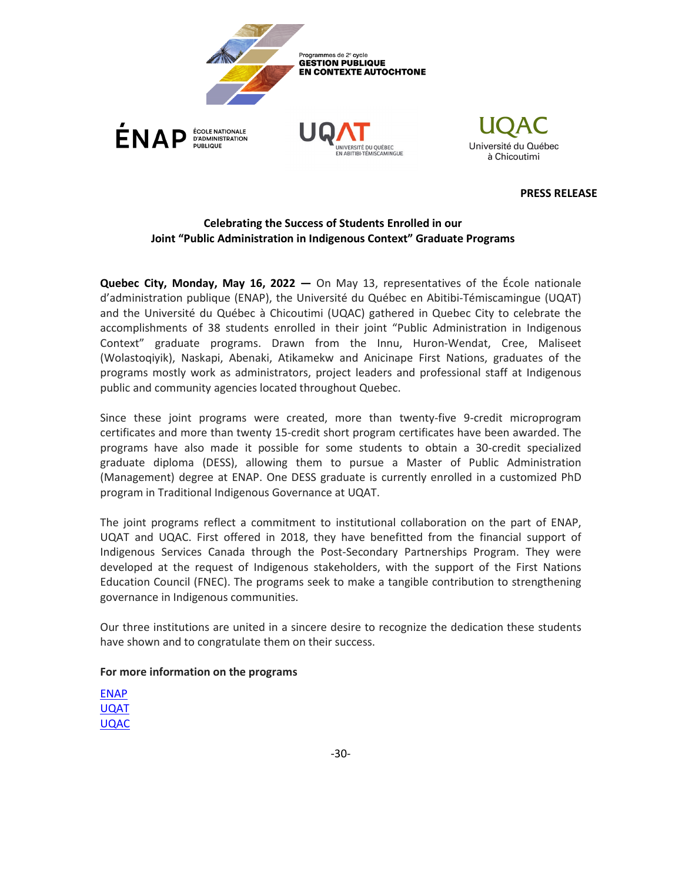



**PRESS RELEASE**

## **Celebrating the Success of Students Enrolled in our Joint "Public Administration in Indigenous Context" Graduate Programs**

**Quebec City, Monday, May 16, 2022 —** On May 13, representatives of the École nationale d'administration publique (ENAP), the Université du Québec en Abitibi-Témiscamingue (UQAT) and the Université du Québec à Chicoutimi (UQAC) gathered in Quebec City to celebrate the accomplishments of 38 students enrolled in their joint "Public Administration in Indigenous Context" graduate programs. Drawn from the Innu, Huron-Wendat, Cree, Maliseet (Wolastoqiyik), Naskapi, Abenaki, Atikamekw and Anicinape First Nations, graduates of the programs mostly work as administrators, project leaders and professional staff at Indigenous public and community agencies located throughout Quebec.

Since these joint programs were created, more than twenty-five 9-credit microprogram certificates and more than twenty 15-credit short program certificates have been awarded. The programs have also made it possible for some students to obtain a 30-credit specialized graduate diploma (DESS), allowing them to pursue a Master of Public Administration (Management) degree at ENAP. One DESS graduate is currently enrolled in a customized PhD program in Traditional Indigenous Governance at UQAT.

The joint programs reflect a commitment to institutional collaboration on the part of ENAP, UQAT and UQAC. First offered in 2018, they have benefitted from the financial support of Indigenous Services Canada through the Post-Secondary Partnerships Program. They were developed at the request of Indigenous stakeholders, with the support of the First Nations Education Council (FNEC). The programs seek to make a tangible contribution to strengthening governance in Indigenous communities.

Our three institutions are united in a sincere desire to recognize the dedication these students have shown and to congratulate them on their success.

## **For more information on the programs**

[ENAP](https://enap.ca/enap/15679/Gestion_publique_en_contexte_autochtone.enap) [UQAT](http://www.uqat.ca/etudes/etudes-autochtones/) [UQAC](https://www.uqac.ca/programme/1803-dess-en-gestion-publique-en-contexte-autochtone/)